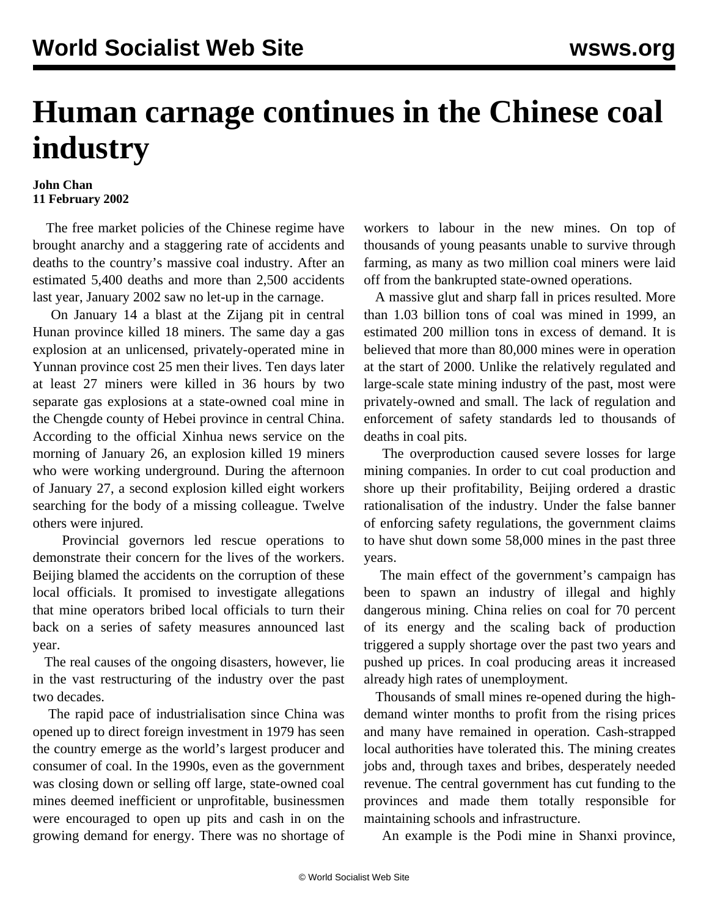## **Human carnage continues in the Chinese coal industry**

## **John Chan 11 February 2002**

 The free market policies of the Chinese regime have brought anarchy and a staggering rate of accidents and deaths to the country's massive coal industry. After an estimated 5,400 deaths and more than 2,500 accidents last year, January 2002 saw no let-up in the carnage.

 On January 14 a blast at the Zijang pit in central Hunan province killed 18 miners. The same day a gas explosion at an unlicensed, privately-operated mine in Yunnan province cost 25 men their lives. Ten days later at least 27 miners were killed in 36 hours by two separate gas explosions at a state-owned coal mine in the Chengde county of Hebei province in central China. According to the official Xinhua news service on the morning of January 26, an explosion killed 19 miners who were working underground. During the afternoon of January 27, a second explosion killed eight workers searching for the body of a missing colleague. Twelve others were injured.

 Provincial governors led rescue operations to demonstrate their concern for the lives of the workers. Beijing blamed the accidents on the corruption of these local officials. It promised to investigate allegations that mine operators bribed local officials to turn their back on a series of safety measures announced last year.

 The real causes of the ongoing disasters, however, lie in the vast restructuring of the industry over the past two decades.

 The rapid pace of industrialisation since China was opened up to direct foreign investment in 1979 has seen the country emerge as the world's largest producer and consumer of coal. In the 1990s, even as the government was closing down or selling off large, state-owned coal mines deemed inefficient or unprofitable, businessmen were encouraged to open up pits and cash in on the growing demand for energy. There was no shortage of workers to labour in the new mines. On top of thousands of young peasants unable to survive through farming, as many as two million coal miners were laid off from the bankrupted state-owned operations.

 A massive glut and sharp fall in prices resulted. More than 1.03 billion tons of coal was mined in 1999, an estimated 200 million tons in excess of demand. It is believed that more than 80,000 mines were in operation at the start of 2000. Unlike the relatively regulated and large-scale state mining industry of the past, most were privately-owned and small. The lack of regulation and enforcement of safety standards led to thousands of deaths in coal pits.

 The overproduction caused severe losses for large mining companies. In order to cut coal production and shore up their profitability, Beijing ordered a drastic rationalisation of the industry. Under the false banner of enforcing safety regulations, the government claims to have shut down some 58,000 mines in the past three years.

 The main effect of the government's campaign has been to spawn an industry of illegal and highly dangerous mining. China relies on coal for 70 percent of its energy and the scaling back of production triggered a supply shortage over the past two years and pushed up prices. In coal producing areas it increased already high rates of unemployment.

 Thousands of small mines re-opened during the highdemand winter months to profit from the rising prices and many have remained in operation. Cash-strapped local authorities have tolerated this. The mining creates jobs and, through taxes and bribes, desperately needed revenue. The central government has cut funding to the provinces and made them totally responsible for maintaining schools and infrastructure.

An example is the Podi mine in Shanxi province,